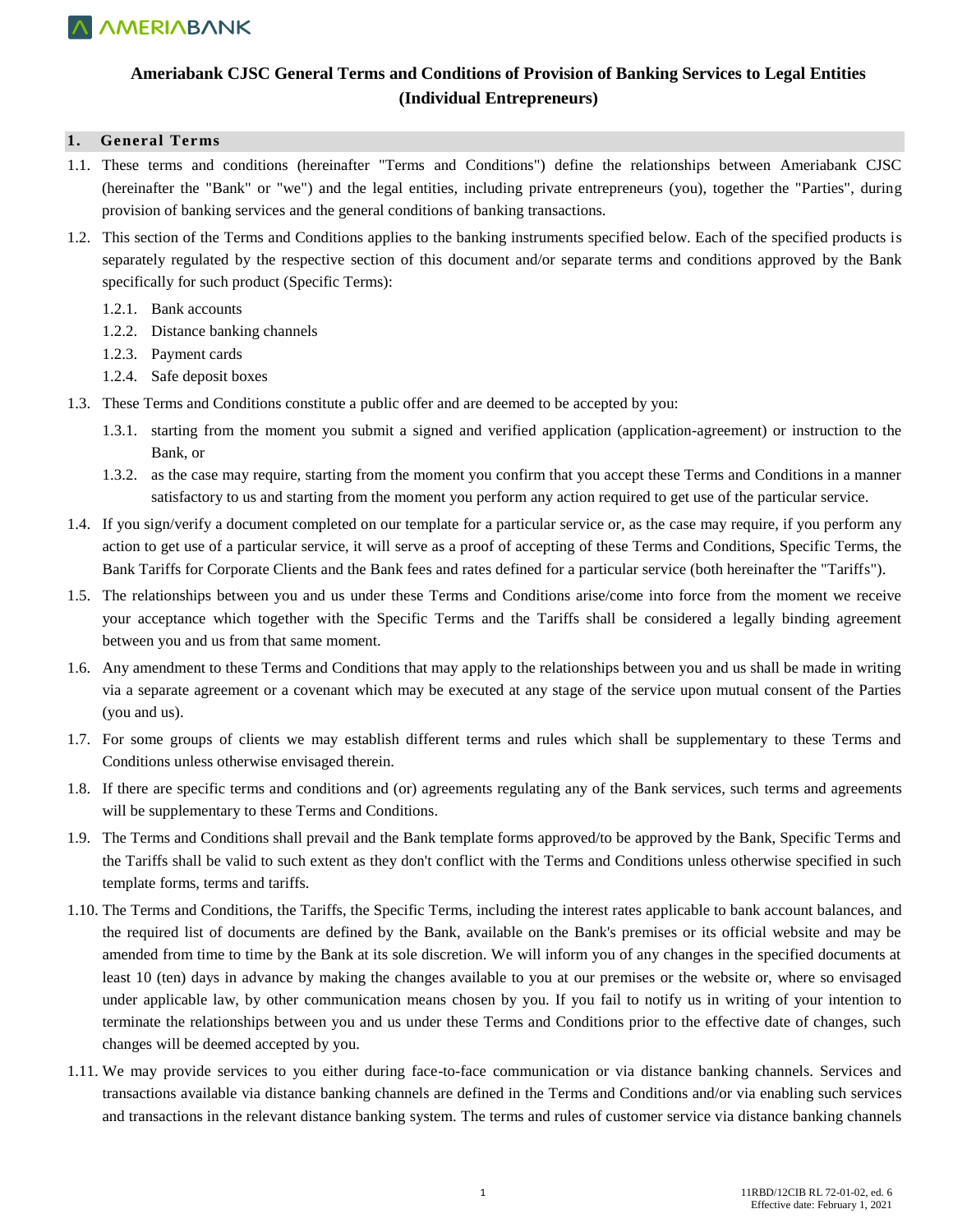

### **Ameriabank CJSC General Terms and Conditions of Provision of Banking Services to Legal Entities (Individual Entrepreneurs)**

#### **1. General Terms**

- 1.1. These terms and conditions (hereinafter "Terms and Conditions") define the relationships between Ameriabank CJSC (hereinafter the "Bank" or "we") and the legal entities, including private entrepreneurs (you), together the "Parties", during provision of banking services and the general conditions of banking transactions.
- 1.2. This section of the Terms and Conditions applies to the banking instruments specified below. Each of the specified products is separately regulated by the respective section of this document and/or separate terms and conditions approved by the Bank specifically for such product (Specific Terms):
	- 1.2.1. Bank accounts
	- 1.2.2. Distance banking channels
	- 1.2.3. Payment cards
	- 1.2.4. Safe deposit boxes
- 1.3. These Terms and Conditions constitute a public offer and are deemed to be accepted by you:
	- 1.3.1. starting from the moment you submit a signed and verified application (application-agreement) or instruction to the Bank, or
	- 1.3.2. as the case may require, starting from the moment you confirm that you accept these Terms and Conditions in a manner satisfactory to us and starting from the moment you perform any action required to get use of the particular service.
- 1.4. If you sign/verify a document completed on our template for a particular service or, as the case may require, if you perform any action to get use of a particular service, it will serve as a proof of accepting of these Terms and Conditions, Specific Terms, the Bank Tariffs for Corporate Clients and the Bank fees and rates defined for a particular service (both hereinafter the "Tariffs").
- 1.5. The relationships between you and us under these Terms and Conditions arise/come into force from the moment we receive your acceptance which together with the Specific Terms and the Tariffs shall be considered a legally binding agreement between you and us from that same moment.
- 1.6. Any amendment to these Terms and Conditions that may apply to the relationships between you and us shall be made in writing via a separate agreement or a covenant which may be executed at any stage of the service upon mutual consent of the Parties (you and us).
- 1.7. For some groups of clients we may establish different terms and rules which shall be supplementary to these Terms and Conditions unless otherwise envisaged therein.
- 1.8. If there are specific terms and conditions and (or) agreements regulating any of the Bank services, such terms and agreements will be supplementary to these Terms and Conditions.
- 1.9. The Terms and Conditions shall prevail and the Bank template forms approved/to be approved by the Bank, Specific Terms and the Tariffs shall be valid to such extent as they don't conflict with the Terms and Conditions unless otherwise specified in such template forms, terms and tariffs.
- 1.10. The Terms and Conditions, the Tariffs, the Specific Terms, including the interest rates applicable to bank account balances, and the required list of documents are defined by the Bank, available on the Bank's premises or its official website and may be amended from time to time by the Bank at its sole discretion. We will inform you of any changes in the specified documents at least 10 (ten) days in advance by making the changes available to you at our premises or the website or, where so envisaged under applicable law, by other communication means chosen by you. If you fail to notify us in writing of your intention to terminate the relationships between you and us under these Terms and Conditions prior to the effective date of changes, such changes will be deemed accepted by you.
- 1.11. We may provide services to you either during face-to-face communication or via distance banking channels. Services and transactions available via distance banking channels are defined in the Terms and Conditions and/or via enabling such services and transactions in the relevant distance banking system. The terms and rules of customer service via distance banking channels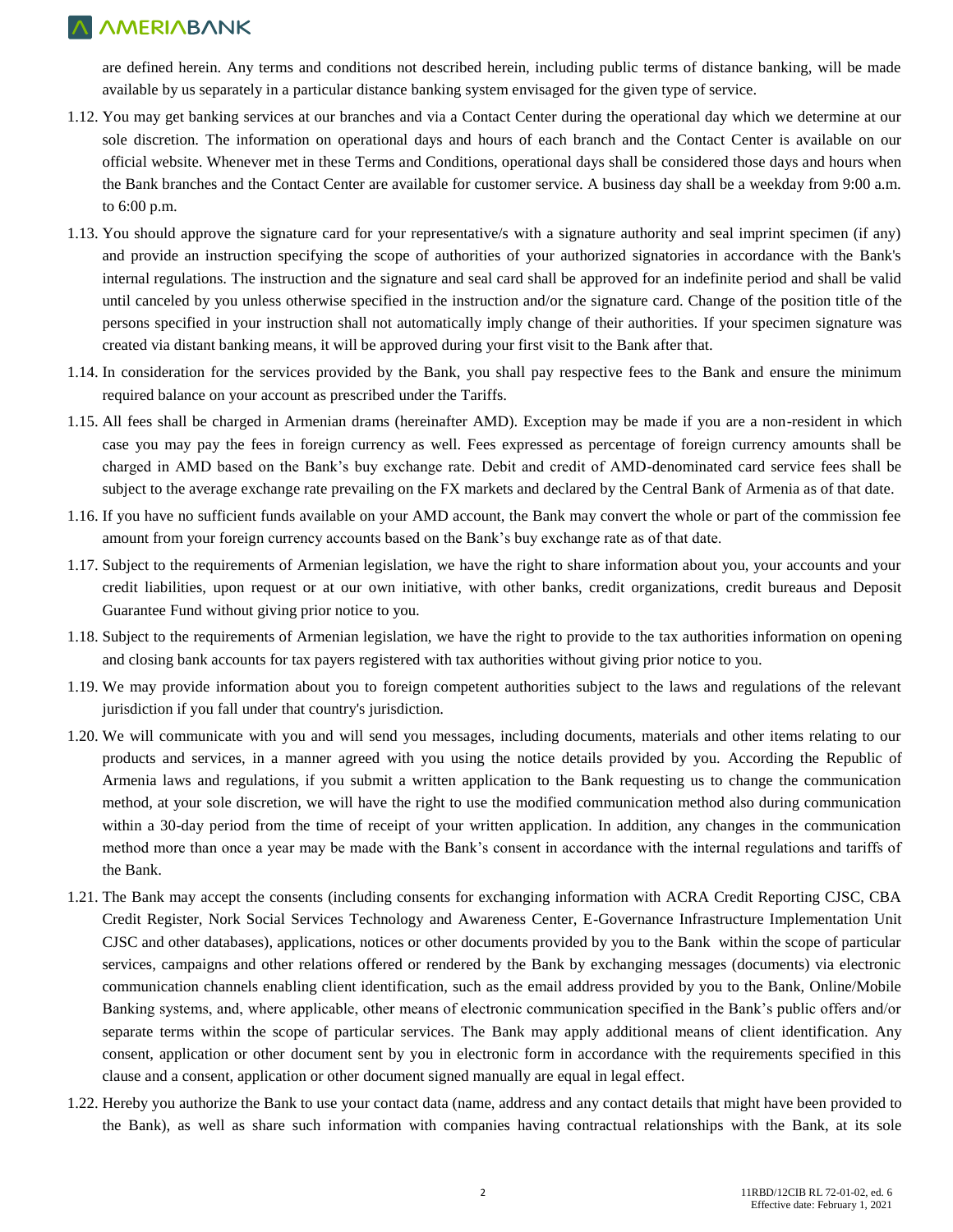are defined herein. Any terms and conditions not described herein, including public terms of distance banking, will be made available by us separately in a particular distance banking system envisaged for the given type of service.

- 1.12. You may get banking services at our branches and via a Contact Center during the operational day which we determine at our sole discretion. The information on operational days and hours of each branch and the Contact Center is available on our official website. Whenever met in these Terms and Conditions, operational days shall be considered those days and hours when the Bank branches and the Contact Center are available for customer service. A business day shall be a weekday from 9:00 a.m. to 6:00 p.m.
- 1.13. You should approve the signature card for your representative/s with a signature authority and seal imprint specimen (if any) and provide an instruction specifying the scope of authorities of your authorized signatories in accordance with the Bank's internal regulations. The instruction and the signature and seal card shall be approved for an indefinite period and shall be valid until canceled by you unless otherwise specified in the instruction and/or the signature card. Change of the position title of the persons specified in your instruction shall not automatically imply change of their authorities. If your specimen signature was created via distant banking means, it will be approved during your first visit to the Bank after that.
- 1.14. In consideration for the services provided by the Bank, you shall pay respective fees to the Bank and ensure the minimum required balance on your account as prescribed under the Tariffs.
- 1.15. All fees shall be charged in Armenian drams (hereinafter AMD). Exception may be made if you are a non-resident in which case you may pay the fees in foreign currency as well. Fees expressed as percentage of foreign currency amounts shall be charged in AMD based on the Bank's buy exchange rate. Debit and credit of AMD-denominated card service fees shall be subject to the average exchange rate prevailing on the FX markets and declared by the Central Bank of Armenia as of that date.
- 1.16. If you have no sufficient funds available on your AMD account, the Bank may convert the whole or part of the commission fee amount from your foreign currency accounts based on the Bank's buy exchange rate as of that date.
- 1.17. Subject to the requirements of Armenian legislation, we have the right to share information about you, your accounts and your credit liabilities, upon request or at our own initiative, with other banks, credit organizations, credit bureaus and Deposit Guarantee Fund without giving prior notice to you.
- 1.18. Subject to the requirements of Armenian legislation, we have the right to provide to the tax authorities information on opening and closing bank accounts for tax payers registered with tax authorities without giving prior notice to you.
- 1.19. We may provide information about you to foreign competent authorities subject to the laws and regulations of the relevant jurisdiction if you fall under that country's jurisdiction.
- 1.20. We will communicate with you and will send you messages, including documents, materials and other items relating to our products and services, in a manner agreed with you using the notice details provided by you. According the Republic of Armenia laws and regulations, if you submit a written application to the Bank requesting us to change the communication method, at your sole discretion, we will have the right to use the modified communication method also during communication within a 30-day period from the time of receipt of your written application. In addition, any changes in the communication method more than once a year may be made with the Bank's consent in accordance with the internal regulations and tariffs of the Bank.
- 1.21. The Bank may accept the consents (including consents for exchanging information with ACRA Credit Reporting CJSC, CBA Credit Register, Nork Social Services Technology and Awareness Center, E-Governance Infrastructure Implementation Unit CJSC and other databases), applications, notices or other documents provided by you to the Bank within the scope of particular services, campaigns and other relations offered or rendered by the Bank by exchanging messages (documents) via electronic communication channels enabling client identification, such as the email address provided by you to the Bank, Online/Mobile Banking systems, and, where applicable, other means of electronic communication specified in the Bank's public offers and/or separate terms within the scope of particular services. The Bank may apply additional means of client identification. Any consent, application or other document sent by you in electronic form in accordance with the requirements specified in this clause and a consent, application or other document signed manually are equal in legal effect.
- 1.22. Hereby you authorize the Bank to use your contact data (name, address and any contact details that might have been provided to the Bank), as well as share such information with companies having contractual relationships with the Bank, at its sole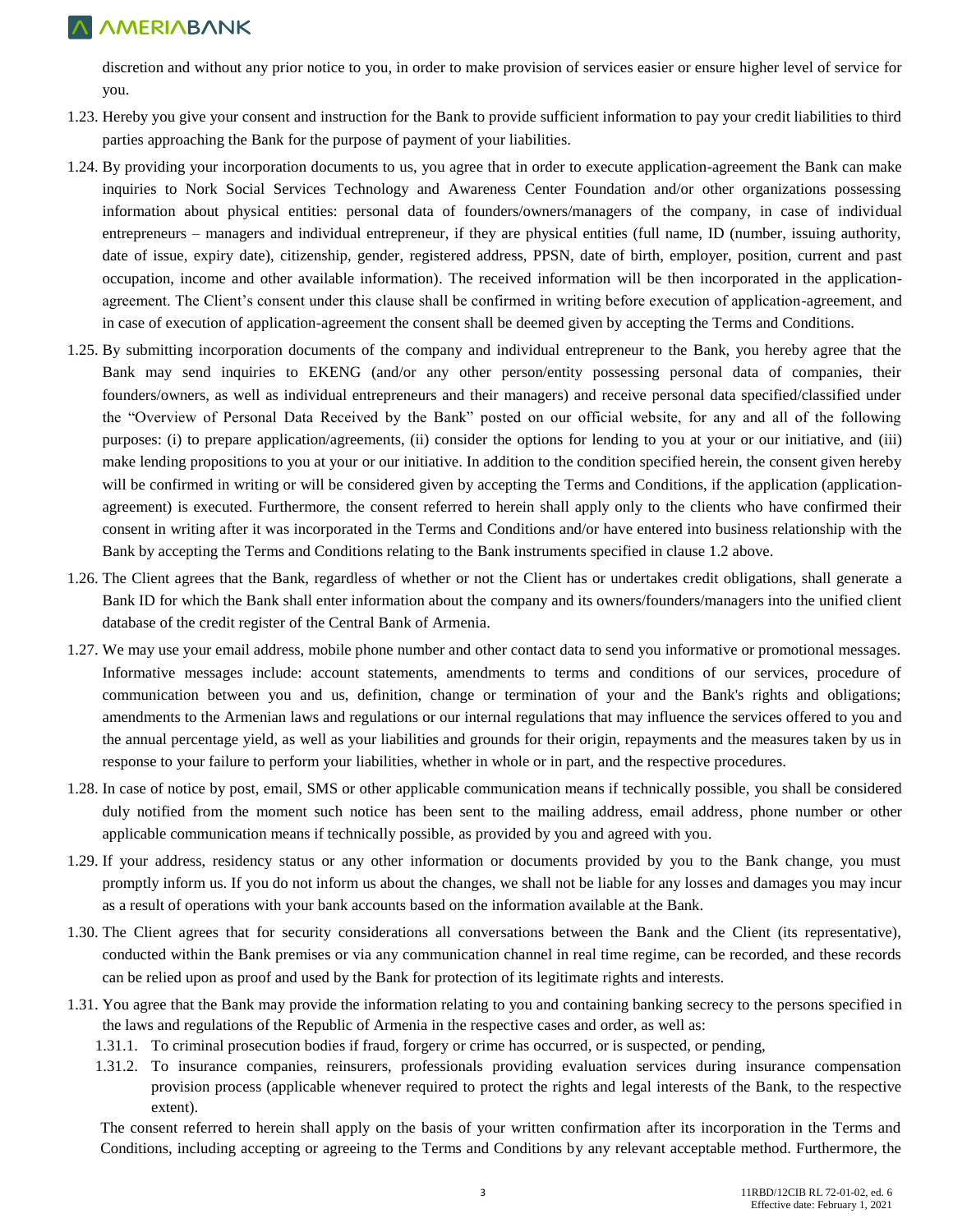discretion and without any prior notice to you, in order to make provision of services easier or ensure higher level of service for you.

- 1.23. Hereby you give your consent and instruction for the Bank to provide sufficient information to pay your credit liabilities to third parties approaching the Bank for the purpose of payment of your liabilities.
- 1.24. By providing your incorporation documents to us, you agree that in order to execute application-agreement the Bank can make inquiries to Nork Social Services Technology and Awareness Center Foundation and/or other organizations possessing information about physical entities: personal data of founders/owners/managers of the company, in case of individual entrepreneurs – managers and individual entrepreneur, if they are physical entities (full name, ID (number, issuing authority, date of issue, expiry date), citizenship, gender, registered address, PPSN, date of birth, employer, position, current and past occupation, income and other available information). The received information will be then incorporated in the applicationagreement. The Client's consent under this clause shall be confirmed in writing before execution of application-agreement, and in case of execution of application-agreement the consent shall be deemed given by accepting the Terms and Conditions.
- 1.25. By submitting incorporation documents of the company and individual entrepreneur to the Bank, you hereby agree that the Bank may send inquiries to EKENG (and/or any other person/entity possessing personal data of companies, their founders/owners, as well as individual entrepreneurs and their managers) and receive personal data specified/classified under the "Overview of Personal Data Received by the Bank" posted on our official website, for any and all of the following purposes: (i) to prepare application/agreements, (ii) consider the options for lending to you at your or our initiative, and (iii) make lending propositions to you at your or our initiative. In addition to the condition specified herein, the consent given hereby will be confirmed in writing or will be considered given by accepting the Terms and Conditions, if the application (applicationagreement) is executed. Furthermore, the consent referred to herein shall apply only to the clients who have confirmed their consent in writing after it was incorporated in the Terms and Conditions and/or have entered into business relationship with the Bank by accepting the Terms and Conditions relating to the Bank instruments specified in clause 1.2 above.
- 1.26. The Client agrees that the Bank, regardless of whether or not the Client has or undertakes credit obligations, shall generate a Bank ID for which the Bank shall enter information about the company and its owners/founders/managers into the unified client database of the credit register of the Central Bank of Armenia.
- 1.27. We may use your email address, mobile phone number and other contact data to send you informative or promotional messages. Informative messages include: account statements, amendments to terms and conditions of our services, procedure of communication between you and us, definition, change or termination of your and the Bank's rights and obligations; amendments to the Armenian laws and regulations or our internal regulations that may influence the services offered to you and the annual percentage yield, as well as your liabilities and grounds for their origin, repayments and the measures taken by us in response to your failure to perform your liabilities, whether in whole or in part, and the respective procedures.
- 1.28. In case of notice by post, email, SMS or other applicable communication means if technically possible, you shall be considered duly notified from the moment such notice has been sent to the mailing address, email address, phone number or other applicable communication means if technically possible, as provided by you and agreed with you.
- 1.29. If your address, residency status or any other information or documents provided by you to the Bank change, you must promptly inform us. If you do not inform us about the changes, we shall not be liable for any losses and damages you may incur as a result of operations with your bank accounts based on the information available at the Bank.
- 1.30. The Client agrees that for security considerations all conversations between the Bank and the Client (its representative), conducted within the Bank premises or via any communication channel in real time regime, can be recorded, and these records can be relied upon as proof and used by the Bank for protection of its legitimate rights and interests.
- 1.31. You agree that the Bank may provide the information relating to you and containing banking secrecy to the persons specified in the laws and regulations of the Republic of Armenia in the respective cases and order, as well as:
	- 1.31.1. To criminal prosecution bodies if fraud, forgery or crime has occurred, or is suspected, or pending,
	- 1.31.2. To insurance companies, reinsurers, professionals providing evaluation services during insurance compensation provision process (applicable whenever required to protect the rights and legal interests of the Bank, to the respective extent).

The consent referred to herein shall apply on the basis of your written confirmation after its incorporation in the Terms and Conditions, including accepting or agreeing to the Terms and Conditions by any relevant acceptable method. Furthermore, the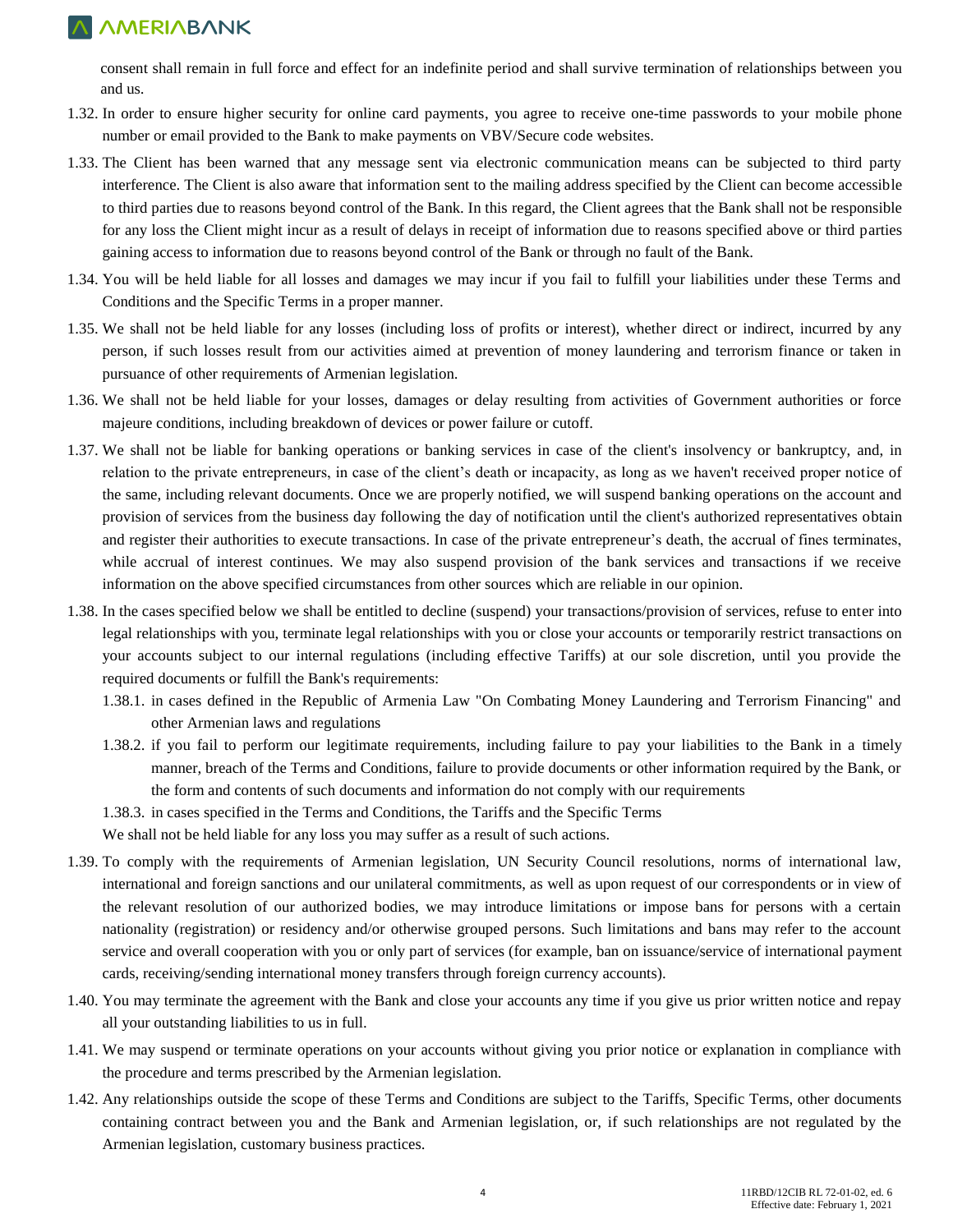consent shall remain in full force and effect for an indefinite period and shall survive termination of relationships between you and us.

- 1.32. In order to ensure higher security for online card payments, you agree to receive one-time passwords to your mobile phone number or email provided to the Bank to make payments on VBV/Secure code websites.
- 1.33. The Client has been warned that any message sent via electronic communication means can be subjected to third party interference. The Client is also aware that information sent to the mailing address specified by the Client can become accessible to third parties due to reasons beyond control of the Bank. In this regard, the Client agrees that the Bank shall not be responsible for any loss the Client might incur as a result of delays in receipt of information due to reasons specified above or third parties gaining access to information due to reasons beyond control of the Bank or through no fault of the Bank.
- 1.34. You will be held liable for all losses and damages we may incur if you fail to fulfill your liabilities under these Terms and Conditions and the Specific Terms in a proper manner.
- 1.35. We shall not be held liable for any losses (including loss of profits or interest), whether direct or indirect, incurred by any person, if such losses result from our activities aimed at prevention of money laundering and terrorism finance or taken in pursuance of other requirements of Armenian legislation.
- 1.36. We shall not be held liable for your losses, damages or delay resulting from activities of Government authorities or force majeure conditions, including breakdown of devices or power failure or cutoff.
- 1.37. We shall not be liable for banking operations or banking services in case of the client's insolvency or bankruptcy, and, in relation to the private entrepreneurs, in case of the client's death or incapacity, as long as we haven't received proper notice of the same, including relevant documents. Once we are properly notified, we will suspend banking operations on the account and provision of services from the business day following the day of notification until the client's authorized representatives obtain and register their authorities to execute transactions. In case of the private entrepreneur's death, the accrual of fines terminates, while accrual of interest continues. We may also suspend provision of the bank services and transactions if we receive information on the above specified circumstances from other sources which are reliable in our opinion.
- 1.38. In the cases specified below we shall be entitled to decline (suspend) your transactions/provision of services, refuse to enter into legal relationships with you, terminate legal relationships with you or close your accounts or temporarily restrict transactions on your accounts subject to our internal regulations (including effective Tariffs) at our sole discretion, until you provide the required documents or fulfill the Bank's requirements:
	- 1.38.1. in cases defined in the Republic of Armenia Law "On Combating Money Laundering and Terrorism Financing" and other Armenian laws and regulations
	- 1.38.2. if you fail to perform our legitimate requirements, including failure to pay your liabilities to the Bank in a timely manner, breach of the Terms and Conditions, failure to provide documents or other information required by the Bank, or the form and contents of such documents and information do not comply with our requirements
	- 1.38.3. in cases specified in the Terms and Conditions, the Tariffs and the Specific Terms We shall not be held liable for any loss you may suffer as a result of such actions.
- 1.39. To comply with the requirements of Armenian legislation, UN Security Council resolutions, norms of international law, international and foreign sanctions and our unilateral commitments, as well as upon request of our correspondents or in view of the relevant resolution of our authorized bodies, we may introduce limitations or impose bans for persons with a certain nationality (registration) or residency and/or otherwise grouped persons. Such limitations and bans may refer to the account service and overall cooperation with you or only part of services (for example, ban on issuance/service of international payment cards, receiving/sending international money transfers through foreign currency accounts).
- 1.40. You may terminate the agreement with the Bank and close your accounts any time if you give us prior written notice and repay all your outstanding liabilities to us in full.
- 1.41. We may suspend or terminate operations on your accounts without giving you prior notice or explanation in compliance with the procedure and terms prescribed by the Armenian legislation.
- 1.42. Any relationships outside the scope of these Terms and Conditions are subject to the Tariffs, Specific Terms, other documents containing contract between you and the Bank and Armenian legislation, or, if such relationships are not regulated by the Armenian legislation, customary business practices.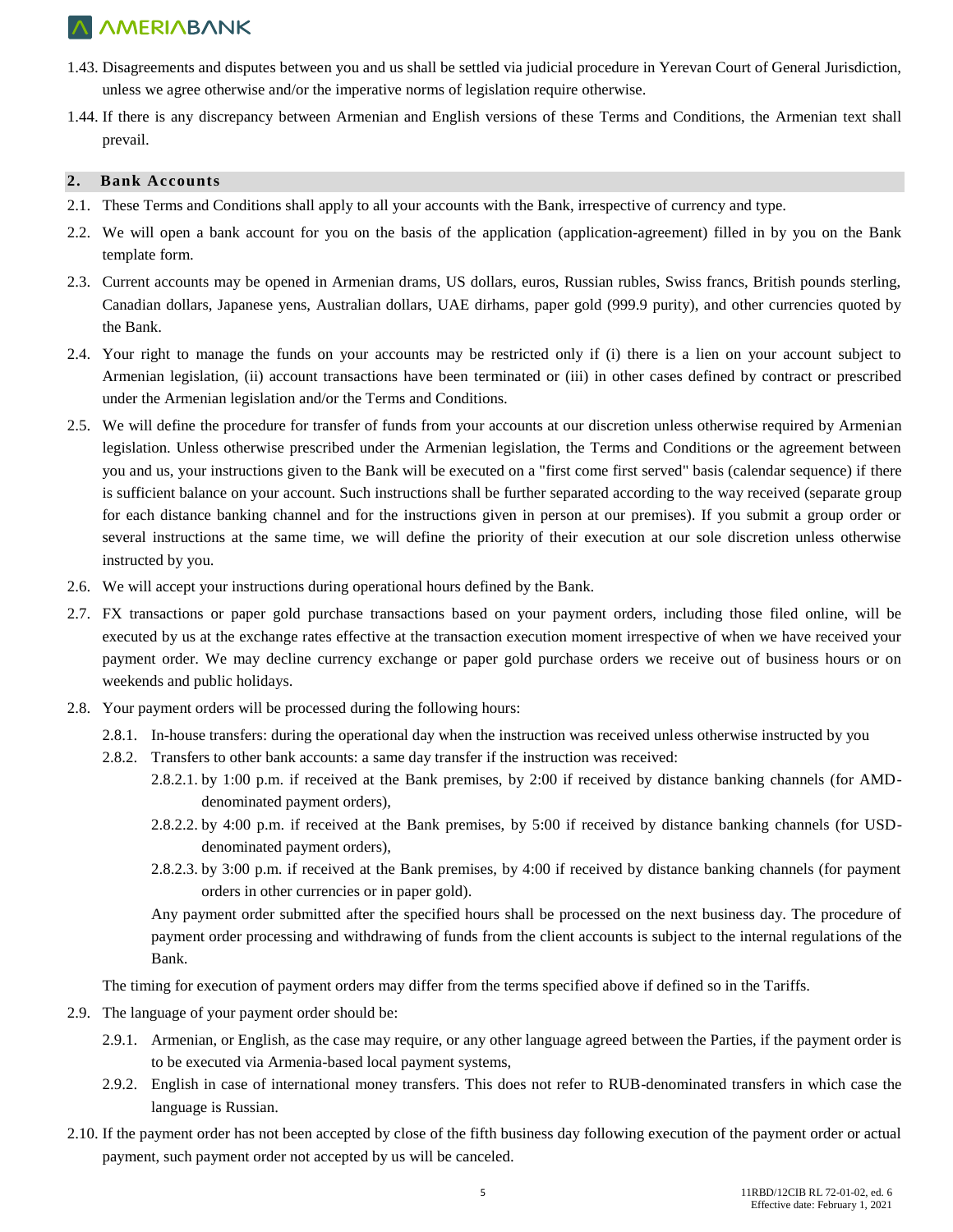- 1.43. Disagreements and disputes between you and us shall be settled via judicial procedure in Yerevan Court of General Jurisdiction, unless we agree otherwise and/or the imperative norms of legislation require otherwise.
- 1.44. If there is any discrepancy between Armenian and English versions of these Terms and Conditions, the Armenian text shall prevail.

#### **2. Bank Accounts**

- 2.1. These Terms and Conditions shall apply to all your accounts with the Bank, irrespective of currency and type.
- 2.2. We will open a bank account for you on the basis of the application (application-agreement) filled in by you on the Bank template form.
- 2.3. Current accounts may be opened in Armenian drams, US dollars, euros, Russian rubles, Swiss francs, British pounds sterling, Canadian dollars, Japanese yens, Australian dollars, UAE dirhams, paper gold (999.9 purity), and other currencies quoted by the Bank.
- 2.4. Your right to manage the funds on your accounts may be restricted only if (i) there is a lien on your account subject to Armenian legislation, (ii) account transactions have been terminated or (iii) in other cases defined by contract or prescribed under the Armenian legislation and/or the Terms and Conditions.
- 2.5. We will define the procedure for transfer of funds from your accounts at our discretion unless otherwise required by Armenian legislation. Unless otherwise prescribed under the Armenian legislation, the Terms and Conditions or the agreement between you and us, your instructions given to the Bank will be executed on a "first come first served" basis (calendar sequence) if there is sufficient balance on your account. Such instructions shall be further separated according to the way received (separate group for each distance banking channel and for the instructions given in person at our premises). If you submit a group order or several instructions at the same time, we will define the priority of their execution at our sole discretion unless otherwise instructed by you.
- 2.6. We will accept your instructions during operational hours defined by the Bank.
- 2.7. FX transactions or paper gold purchase transactions based on your payment orders, including those filed online, will be executed by us at the exchange rates effective at the transaction execution moment irrespective of when we have received your payment order. We may decline currency exchange or paper gold purchase orders we receive out of business hours or on weekends and public holidays.
- 2.8. Your payment orders will be processed during the following hours:
	- 2.8.1. In-house transfers: during the operational day when the instruction was received unless otherwise instructed by you
	- 2.8.2. Transfers to other bank accounts: a same day transfer if the instruction was received:
		- 2.8.2.1. by 1:00 p.m. if received at the Bank premises, by 2:00 if received by distance banking channels (for AMDdenominated payment orders),
		- 2.8.2.2. by 4:00 p.m. if received at the Bank premises, by 5:00 if received by distance banking channels (for USDdenominated payment orders),
		- 2.8.2.3. by 3:00 p.m. if received at the Bank premises, by 4:00 if received by distance banking channels (for payment orders in other currencies or in paper gold).

Any payment order submitted after the specified hours shall be processed on the next business day. The procedure of payment order processing and withdrawing of funds from the client accounts is subject to the internal regulations of the Bank.

The timing for execution of payment orders may differ from the terms specified above if defined so in the Tariffs.

- 2.9. The language of your payment order should be:
	- 2.9.1. Armenian, or English, as the case may require, or any other language agreed between the Parties, if the payment order is to be executed via Armenia-based local payment systems,
	- 2.9.2. English in case of international money transfers. This does not refer to RUB-denominated transfers in which case the language is Russian.
- 2.10. If the payment order has not been accepted by close of the fifth business day following execution of the payment order or actual payment, such payment order not accepted by us will be canceled.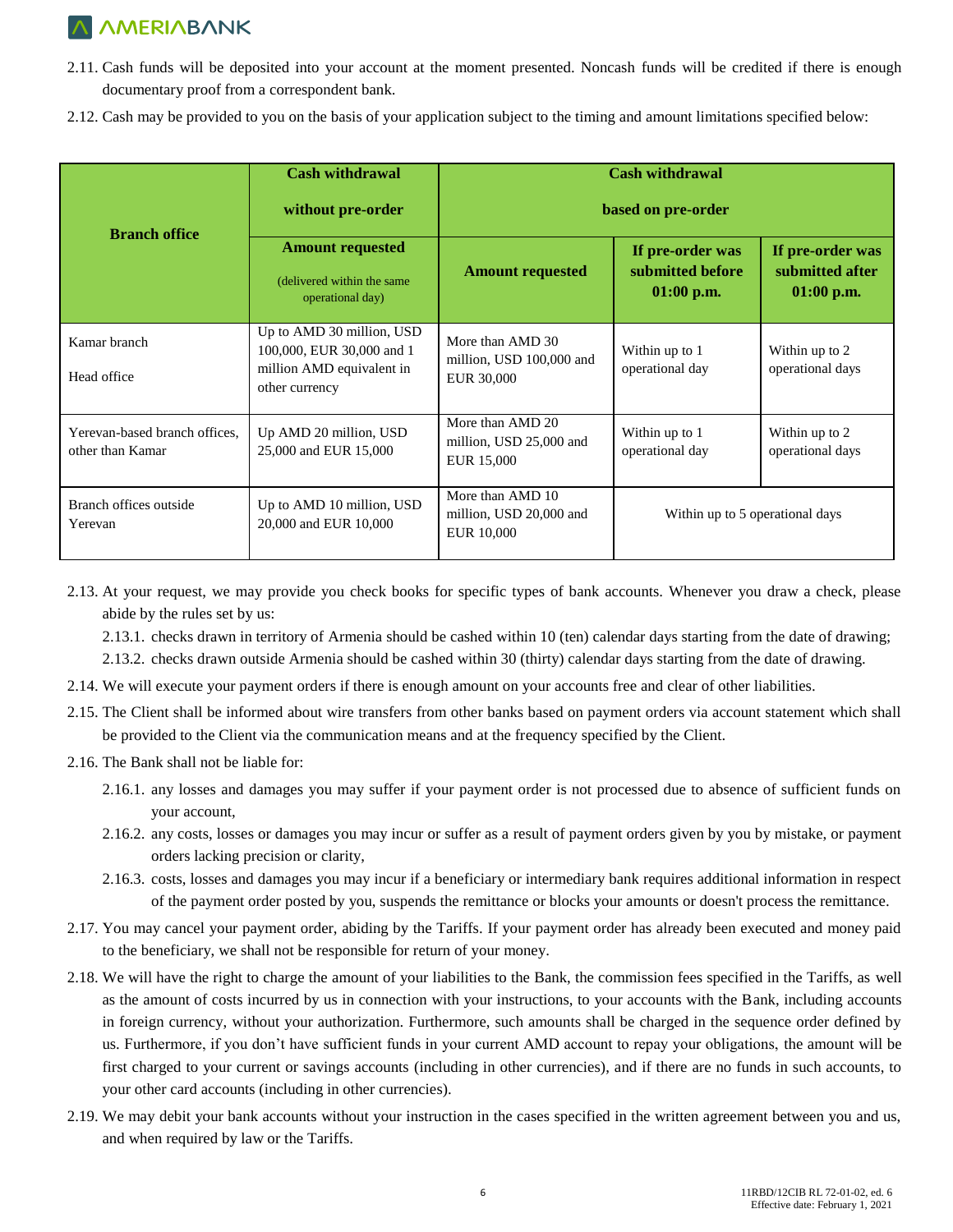- 2.11. Cash funds will be deposited into your account at the moment presented. Noncash funds will be credited if there is enough documentary proof from a correspondent bank.
- 2.12. Cash may be provided to you on the basis of your application subject to the timing and amount limitations specified below:

| <b>Branch office</b>                              | <b>Cash withdrawal</b><br>without pre-order                                                           | <b>Cash withdrawal</b><br>based on pre-order               |                                                      |                                                     |
|---------------------------------------------------|-------------------------------------------------------------------------------------------------------|------------------------------------------------------------|------------------------------------------------------|-----------------------------------------------------|
|                                                   | <b>Amount requested</b><br>(delivered within the same)<br>operational day)                            | <b>Amount requested</b>                                    | If pre-order was<br>submitted before<br>$01:00$ p.m. | If pre-order was<br>submitted after<br>$01:00$ p.m. |
| Kamar branch<br>Head office                       | Up to AMD 30 million, USD<br>100,000, EUR 30,000 and 1<br>million AMD equivalent in<br>other currency | More than AMD 30<br>million, USD 100,000 and<br>EUR 30,000 | Within up to 1<br>operational day                    | Within up to 2<br>operational days                  |
| Yerevan-based branch offices,<br>other than Kamar | Up AMD 20 million, USD<br>25,000 and EUR 15,000                                                       | More than AMD 20<br>million, USD 25,000 and<br>EUR 15,000  | Within up to 1<br>operational day                    | Within up to 2<br>operational days                  |
| Branch offices outside<br>Yerevan                 | Up to AMD 10 million, USD<br>20,000 and EUR 10,000                                                    | More than AMD 10<br>million, USD 20,000 and<br>EUR 10,000  | Within up to 5 operational days                      |                                                     |

2.13. At your request, we may provide you check books for specific types of bank accounts. Whenever you draw a check, please abide by the rules set by us:

2.13.1. checks drawn in territory of Armenia should be cashed within 10 (ten) calendar days starting from the date of drawing; 2.13.2. checks drawn outside Armenia should be cashed within 30 (thirty) calendar days starting from the date of drawing.

- 2.14. We will execute your payment orders if there is enough amount on your accounts free and clear of other liabilities.
- 2.15. The Client shall be informed about wire transfers from other banks based on payment orders via account statement which shall be provided to the Client via the communication means and at the frequency specified by the Client.
- 2.16. The Bank shall not be liable for:
	- 2.16.1. any losses and damages you may suffer if your payment order is not processed due to absence of sufficient funds on your account,
	- 2.16.2. any costs, losses or damages you may incur or suffer as a result of payment orders given by you by mistake, or payment orders lacking precision or clarity,
	- 2.16.3. costs, losses and damages you may incur if a beneficiary or intermediary bank requires additional information in respect of the payment order posted by you, suspends the remittance or blocks your amounts or doesn't process the remittance.
- 2.17. You may cancel your payment order, abiding by the Tariffs. If your payment order has already been executed and money paid to the beneficiary, we shall not be responsible for return of your money.
- 2.18. We will have the right to charge the amount of your liabilities to the Bank, the commission fees specified in the Tariffs, as well as the amount of costs incurred by us in connection with your instructions, to your accounts with the Bank, including accounts in foreign currency, without your authorization. Furthermore, such amounts shall be charged in the sequence order defined by us. Furthermore, if you don't have sufficient funds in your current AMD account to repay your obligations, the amount will be first charged to your current or savings accounts (including in other currencies), and if there are no funds in such accounts, to your other card accounts (including in other currencies).
- 2.19. We may debit your bank accounts without your instruction in the cases specified in the written agreement between you and us, and when required by law or the Tariffs.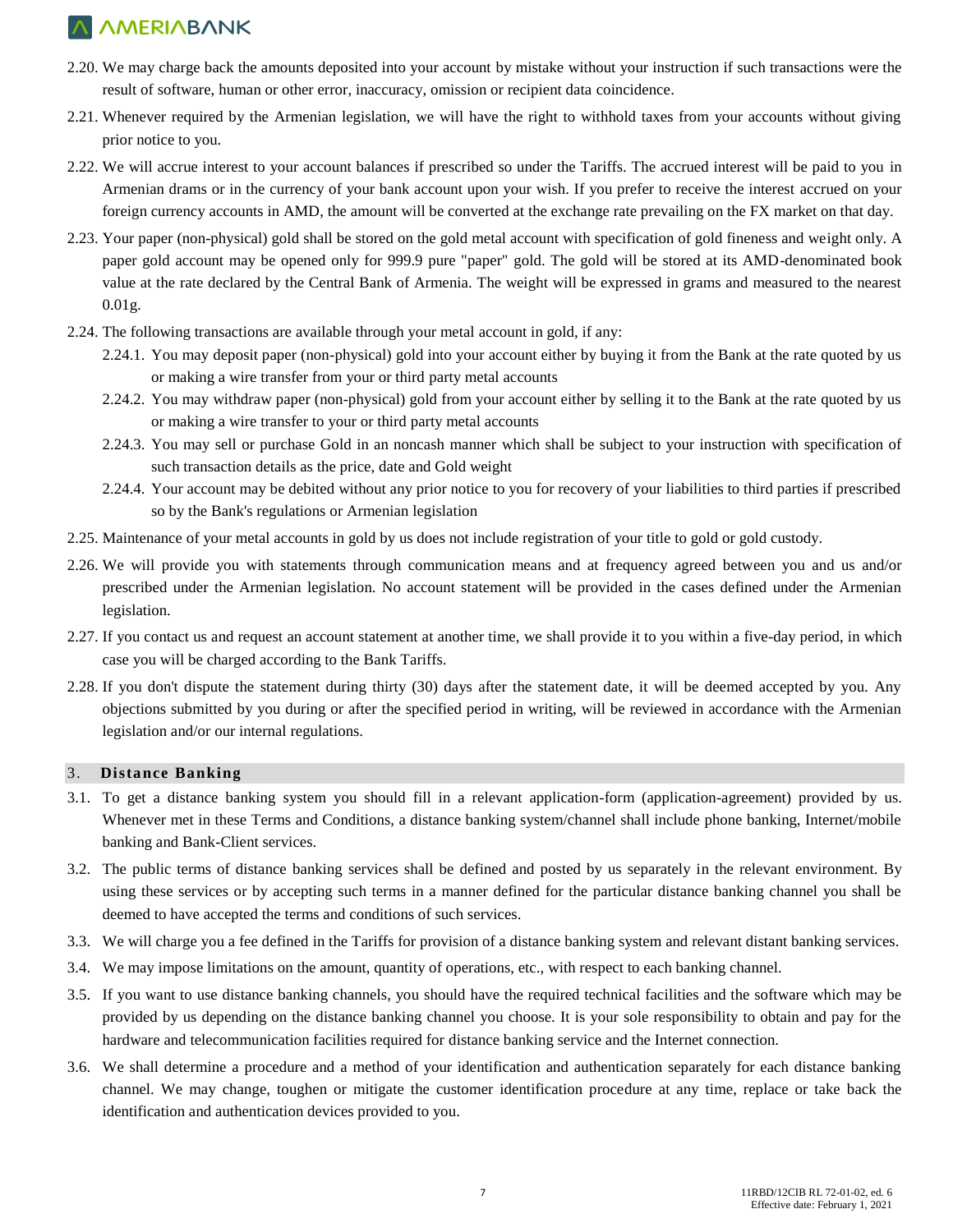- 2.20. We may charge back the amounts deposited into your account by mistake without your instruction if such transactions were the result of software, human or other error, inaccuracy, omission or recipient data coincidence.
- 2.21. Whenever required by the Armenian legislation, we will have the right to withhold taxes from your accounts without giving prior notice to you.
- 2.22. We will accrue interest to your account balances if prescribed so under the Tariffs. The accrued interest will be paid to you in Armenian drams or in the currency of your bank account upon your wish. If you prefer to receive the interest accrued on your foreign currency accounts in AMD, the amount will be converted at the exchange rate prevailing on the FX market on that day.
- 2.23. Your paper (non-physical) gold shall be stored on the gold metal account with specification of gold fineness and weight only. A paper gold account may be opened only for 999.9 pure "paper" gold. The gold will be stored at its AMD-denominated book value at the rate declared by the Central Bank of Armenia. The weight will be expressed in grams and measured to the nearest 0.01g.
- 2.24. The following transactions are available through your metal account in gold, if any:
	- 2.24.1. You may deposit paper (non-physical) gold into your account either by buying it from the Bank at the rate quoted by us or making a wire transfer from your or third party metal accounts
	- 2.24.2. You may withdraw paper (non-physical) gold from your account either by selling it to the Bank at the rate quoted by us or making a wire transfer to your or third party metal accounts
	- 2.24.3. You may sell or purchase Gold in an noncash manner which shall be subject to your instruction with specification of such transaction details as the price, date and Gold weight
	- 2.24.4. Your account may be debited without any prior notice to you for recovery of your liabilities to third parties if prescribed so by the Bank's regulations or Armenian legislation
- 2.25. Maintenance of your metal accounts in gold by us does not include registration of your title to gold or gold custody.
- 2.26. We will provide you with statements through communication means and at frequency agreed between you and us and/or prescribed under the Armenian legislation. No account statement will be provided in the cases defined under the Armenian legislation.
- 2.27. If you contact us and request an account statement at another time, we shall provide it to you within a five-day period, in which case you will be charged according to the Bank Tariffs.
- 2.28. If you don't dispute the statement during thirty (30) days after the statement date, it will be deemed accepted by you. Any objections submitted by you during or after the specified period in writing, will be reviewed in accordance with the Armenian legislation and/or our internal regulations.

#### 3. **Distance Banking**

- 3.1. To get a distance banking system you should fill in a relevant application-form (application-agreement) provided by us. Whenever met in these Terms and Conditions, a distance banking system/channel shall include phone banking, Internet/mobile banking and Bank-Client services.
- 3.2. The public terms of distance banking services shall be defined and posted by us separately in the relevant environment. By using these services or by accepting such terms in a manner defined for the particular distance banking channel you shall be deemed to have accepted the terms and conditions of such services.
- 3.3. We will charge you a fee defined in the Tariffs for provision of a distance banking system and relevant distant banking services.
- 3.4. We may impose limitations on the amount, quantity of operations, etc., with respect to each banking channel.
- 3.5. If you want to use distance banking channels, you should have the required technical facilities and the software which may be provided by us depending on the distance banking channel you choose. It is your sole responsibility to obtain and pay for the hardware and telecommunication facilities required for distance banking service and the Internet connection.
- 3.6. We shall determine a procedure and a method of your identification and authentication separately for each distance banking channel. We may change, toughen or mitigate the customer identification procedure at any time, replace or take back the identification and authentication devices provided to you.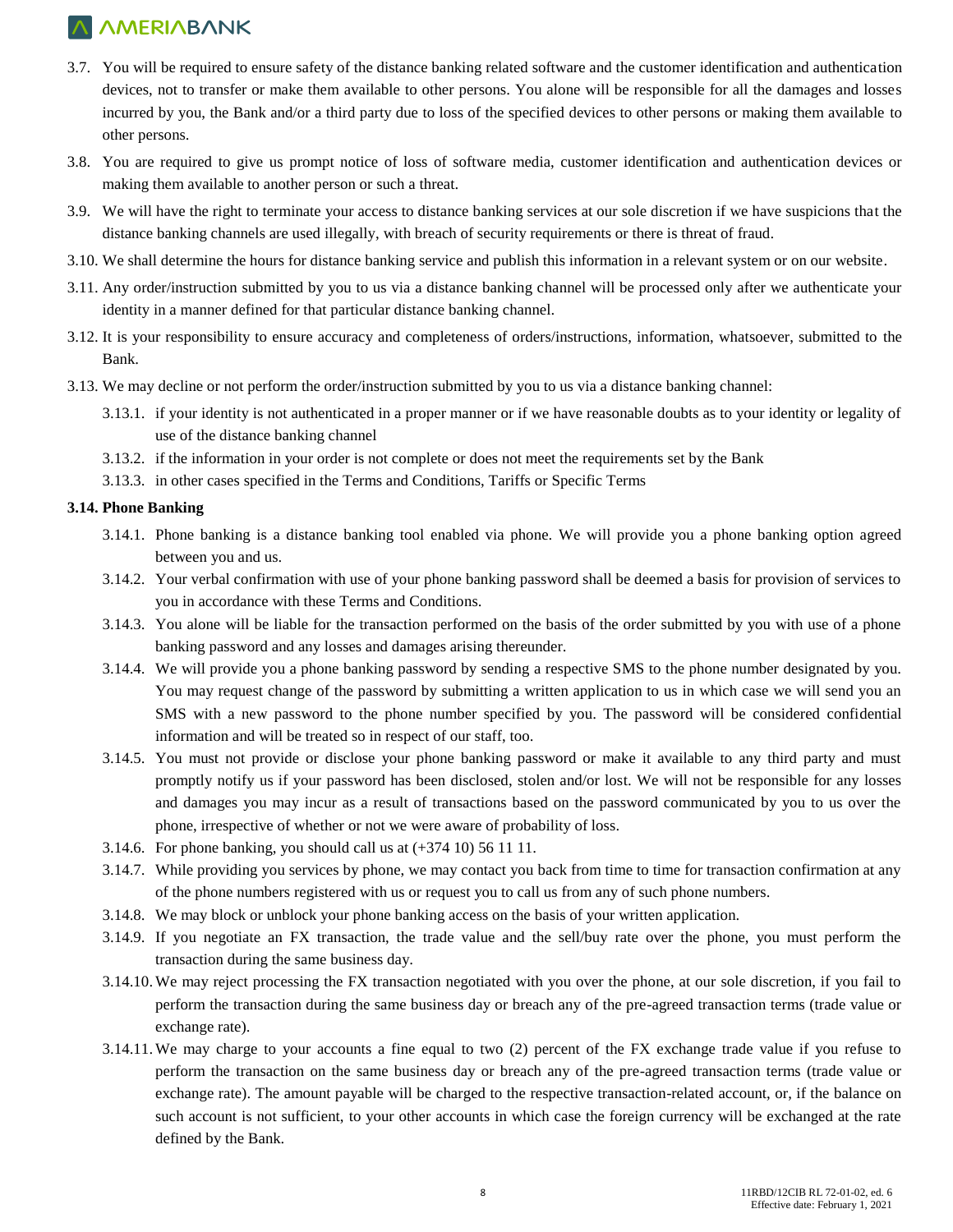- 3.7. You will be required to ensure safety of the distance banking related software and the customer identification and authentication devices, not to transfer or make them available to other persons. You alone will be responsible for all the damages and losses incurred by you, the Bank and/or a third party due to loss of the specified devices to other persons or making them available to other persons.
- 3.8. You are required to give us prompt notice of loss of software media, customer identification and authentication devices or making them available to another person or such a threat.
- 3.9. We will have the right to terminate your access to distance banking services at our sole discretion if we have suspicions that the distance banking channels are used illegally, with breach of security requirements or there is threat of fraud.
- 3.10. We shall determine the hours for distance banking service and publish this information in a relevant system or on our website.
- 3.11. Any order/instruction submitted by you to us via a distance banking channel will be processed only after we authenticate your identity in a manner defined for that particular distance banking channel.
- 3.12. It is your responsibility to ensure accuracy and completeness of orders/instructions, information, whatsoever, submitted to the Bank.
- 3.13. We may decline or not perform the order/instruction submitted by you to us via a distance banking channel:
	- 3.13.1. if your identity is not authenticated in a proper manner or if we have reasonable doubts as to your identity or legality of use of the distance banking channel
	- 3.13.2. if the information in your order is not complete or does not meet the requirements set by the Bank
	- 3.13.3. in other cases specified in the Terms and Conditions, Tariffs or Specific Terms

#### **3.14. Phone Banking**

- 3.14.1. Phone banking is a distance banking tool enabled via phone. We will provide you a phone banking option agreed between you and us.
- 3.14.2. Your verbal confirmation with use of your phone banking password shall be deemed a basis for provision of services to you in accordance with these Terms and Conditions.
- 3.14.3. You alone will be liable for the transaction performed on the basis of the order submitted by you with use of a phone banking password and any losses and damages arising thereunder.
- 3.14.4. We will provide you a phone banking password by sending a respective SMS to the phone number designated by you. You may request change of the password by submitting a written application to us in which case we will send you an SMS with a new password to the phone number specified by you. The password will be considered confidential information and will be treated so in respect of our staff, too.
- 3.14.5. You must not provide or disclose your phone banking password or make it available to any third party and must promptly notify us if your password has been disclosed, stolen and/or lost. We will not be responsible for any losses and damages you may incur as a result of transactions based on the password communicated by you to us over the phone, irrespective of whether or not we were aware of probability of loss.
- 3.14.6. For phone banking, you should call us at (+374 10) 56 11 11.
- 3.14.7. While providing you services by phone, we may contact you back from time to time for transaction confirmation at any of the phone numbers registered with us or request you to call us from any of such phone numbers.
- 3.14.8. We may block or unblock your phone banking access on the basis of your written application.
- 3.14.9. If you negotiate an FX transaction, the trade value and the sell/buy rate over the phone, you must perform the transaction during the same business day.
- 3.14.10.We may reject processing the FX transaction negotiated with you over the phone, at our sole discretion, if you fail to perform the transaction during the same business day or breach any of the pre-agreed transaction terms (trade value or exchange rate).
- 3.14.11.We may charge to your accounts a fine equal to two (2) percent of the FX exchange trade value if you refuse to perform the transaction on the same business day or breach any of the pre-agreed transaction terms (trade value or exchange rate). The amount payable will be charged to the respective transaction-related account, or, if the balance on such account is not sufficient, to your other accounts in which case the foreign currency will be exchanged at the rate defined by the Bank.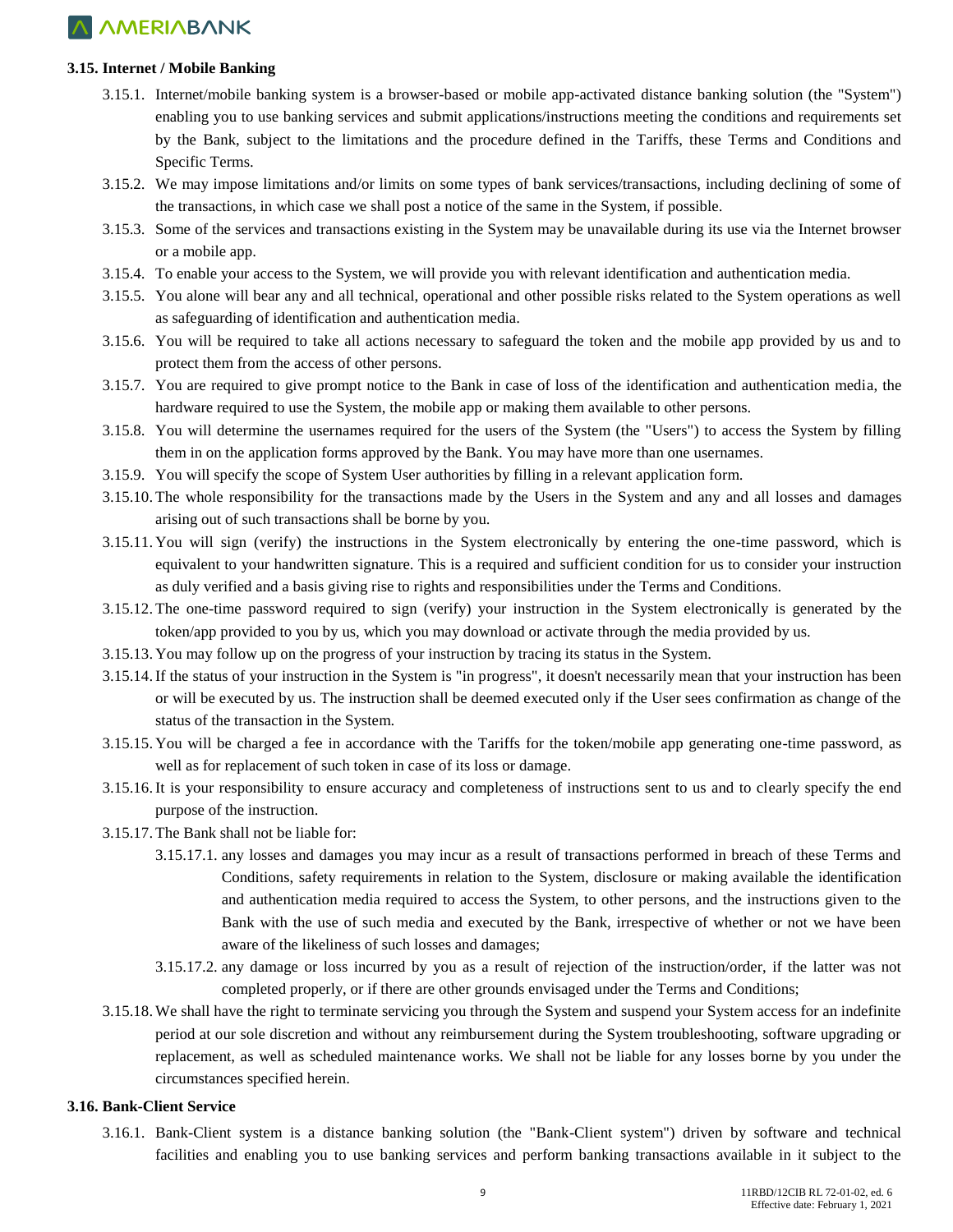#### **3.15. Internet / Mobile Banking**

- 3.15.1. Internet/mobile banking system is a browser-based or mobile app-activated distance banking solution (the "System") enabling you to use banking services and submit applications/instructions meeting the conditions and requirements set by the Bank, subject to the limitations and the procedure defined in the Tariffs, these Terms and Conditions and Specific Terms.
- 3.15.2. We may impose limitations and/or limits on some types of bank services/transactions, including declining of some of the transactions, in which case we shall post a notice of the same in the System, if possible.
- 3.15.3. Some of the services and transactions existing in the System may be unavailable during its use via the Internet browser or a mobile app.
- 3.15.4. To enable your access to the System, we will provide you with relevant identification and authentication media.
- 3.15.5. You alone will bear any and all technical, operational and other possible risks related to the System operations as well as safeguarding of identification and authentication media.
- 3.15.6. You will be required to take all actions necessary to safeguard the token and the mobile app provided by us and to protect them from the access of other persons.
- 3.15.7. You are required to give prompt notice to the Bank in case of loss of the identification and authentication media, the hardware required to use the System, the mobile app or making them available to other persons.
- 3.15.8. You will determine the usernames required for the users of the System (the "Users") to access the System by filling them in on the application forms approved by the Bank. You may have more than one usernames.
- 3.15.9. You will specify the scope of System User authorities by filling in a relevant application form.
- 3.15.10. The whole responsibility for the transactions made by the Users in the System and any and all losses and damages arising out of such transactions shall be borne by you.
- 3.15.11. You will sign (verify) the instructions in the System electronically by entering the one-time password, which is equivalent to your handwritten signature. This is a required and sufficient condition for us to consider your instruction as duly verified and a basis giving rise to rights and responsibilities under the Terms and Conditions.
- 3.15.12. The one-time password required to sign (verify) your instruction in the System electronically is generated by the token/app provided to you by us, which you may download or activate through the media provided by us.
- 3.15.13. You may follow up on the progress of your instruction by tracing its status in the System.
- 3.15.14.If the status of your instruction in the System is "in progress", it doesn't necessarily mean that your instruction has been or will be executed by us. The instruction shall be deemed executed only if the User sees confirmation as change of the status of the transaction in the System.
- 3.15.15. You will be charged a fee in accordance with the Tariffs for the token/mobile app generating one-time password, as well as for replacement of such token in case of its loss or damage.
- 3.15.16.It is your responsibility to ensure accuracy and completeness of instructions sent to us and to clearly specify the end purpose of the instruction.
- 3.15.17. The Bank shall not be liable for:
	- 3.15.17.1. any losses and damages you may incur as a result of transactions performed in breach of these Terms and Conditions, safety requirements in relation to the System, disclosure or making available the identification and authentication media required to access the System, to other persons, and the instructions given to the Bank with the use of such media and executed by the Bank, irrespective of whether or not we have been aware of the likeliness of such losses and damages;
	- 3.15.17.2. any damage or loss incurred by you as a result of rejection of the instruction/order, if the latter was not completed properly, or if there are other grounds envisaged under the Terms and Conditions;
- 3.15.18.We shall have the right to terminate servicing you through the System and suspend your System access for an indefinite period at our sole discretion and without any reimbursement during the System troubleshooting, software upgrading or replacement, as well as scheduled maintenance works. We shall not be liable for any losses borne by you under the circumstances specified herein.

#### **3.16. Bank-Client Service**

3.16.1. Bank-Client system is a distance banking solution (the "Bank-Client system") driven by software and technical facilities and enabling you to use banking services and perform banking transactions available in it subject to the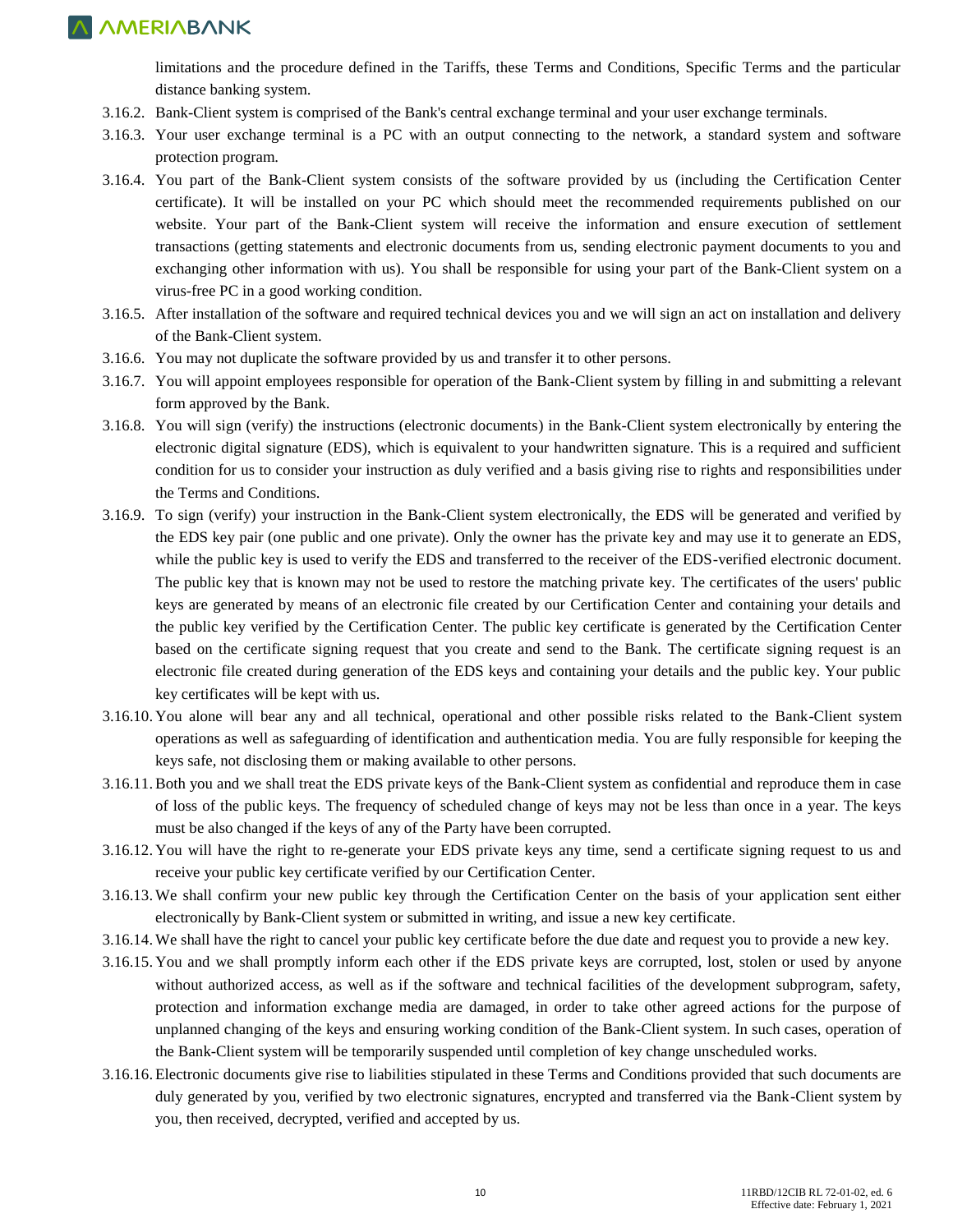limitations and the procedure defined in the Tariffs, these Terms and Conditions, Specific Terms and the particular distance banking system.

- 3.16.2. Bank-Client system is comprised of the Bank's central exchange terminal and your user exchange terminals.
- 3.16.3. Your user exchange terminal is a PC with an output connecting to the network, a standard system and software protection program.
- 3.16.4. You part of the Bank-Client system consists of the software provided by us (including the Certification Center certificate). It will be installed on your PC which should meet the recommended requirements published on our website. Your part of the Bank-Client system will receive the information and ensure execution of settlement transactions (getting statements and electronic documents from us, sending electronic payment documents to you and exchanging other information with us). You shall be responsible for using your part of the Bank-Client system on a virus-free PC in a good working condition.
- 3.16.5. After installation of the software and required technical devices you and we will sign an act on installation and delivery of the Bank-Client system.
- 3.16.6. You may not duplicate the software provided by us and transfer it to other persons.
- 3.16.7. You will appoint employees responsible for operation of the Bank-Client system by filling in and submitting a relevant form approved by the Bank.
- 3.16.8. You will sign (verify) the instructions (electronic documents) in the Bank-Client system electronically by entering the electronic digital signature (EDS), which is equivalent to your handwritten signature. This is a required and sufficient condition for us to consider your instruction as duly verified and a basis giving rise to rights and responsibilities under the Terms and Conditions.
- 3.16.9. To sign (verify) your instruction in the Bank-Client system electronically, the EDS will be generated and verified by the EDS key pair (one public and one private). Only the owner has the private key and may use it to generate an EDS, while the public key is used to verify the EDS and transferred to the receiver of the EDS-verified electronic document. The public key that is known may not be used to restore the matching private key. The certificates of the users' public keys are generated by means of an electronic file created by our Certification Center and containing your details and the public key verified by the Certification Center. The public key certificate is generated by the Certification Center based on the certificate signing request that you create and send to the Bank. The certificate signing request is an electronic file created during generation of the EDS keys and containing your details and the public key. Your public key certificates will be kept with us.
- 3.16.10. You alone will bear any and all technical, operational and other possible risks related to the Bank-Client system operations as well as safeguarding of identification and authentication media. You are fully responsible for keeping the keys safe, not disclosing them or making available to other persons.
- 3.16.11.Both you and we shall treat the EDS private keys of the Bank-Client system as confidential and reproduce them in case of loss of the public keys. The frequency of scheduled change of keys may not be less than once in a year. The keys must be also changed if the keys of any of the Party have been corrupted.
- 3.16.12. You will have the right to re-generate your EDS private keys any time, send a certificate signing request to us and receive your public key certificate verified by our Certification Center.
- 3.16.13.We shall confirm your new public key through the Certification Center on the basis of your application sent either electronically by Bank-Client system or submitted in writing, and issue a new key certificate.
- 3.16.14.We shall have the right to cancel your public key certificate before the due date and request you to provide a new key.
- 3.16.15. You and we shall promptly inform each other if the EDS private keys are corrupted, lost, stolen or used by anyone without authorized access, as well as if the software and technical facilities of the development subprogram, safety, protection and information exchange media are damaged, in order to take other agreed actions for the purpose of unplanned changing of the keys and ensuring working condition of the Bank-Client system. In such cases, operation of the Bank-Client system will be temporarily suspended until completion of key change unscheduled works.
- 3.16.16. Electronic documents give rise to liabilities stipulated in these Terms and Conditions provided that such documents are duly generated by you, verified by two electronic signatures, encrypted and transferred via the Bank-Client system by you, then received, decrypted, verified and accepted by us.